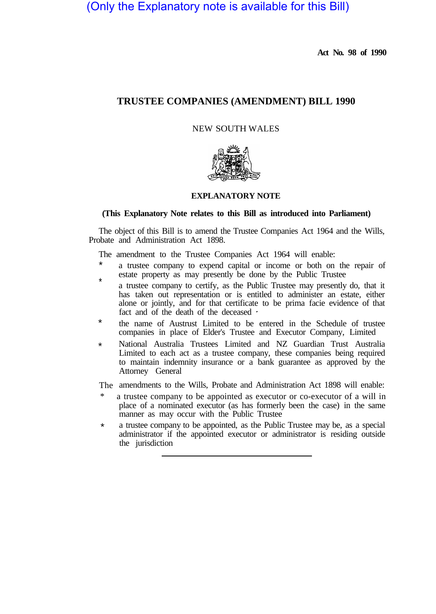(Only the Explanatory note is available for this Bill)

**Act No. 98 of 1990** 

# **TRUSTEE COMPANIES (AMENDMENT) BILL 1990**

NEW SOUTH WALES



# **EXPLANATORY NOTE**

# **(This Explanatory Note relates to this Bill as introduced into Parliament)**

The object of this Bill is to amend the Trustee Companies Act 1964 and the Wills, Probate and Administration Act 1898.

The amendment to the Trustee Companies Act 1964 will enable:

- a trustee company to expend capital or income or both on the repair of estate property as may presently be done by the Public Trustee \*
- \* a trustee company to certify, as the Public Trustee may presently do, that it has taken out representation or is entitled to administer an estate, either alone or jointly, and for that certificate to be prima facie evidence of that fact and of the death of the deceased
- the name of Austrust Limited to be entered in the Schedule of trustee companies in place of Elder's Trustee and Executor Company, Limited \*
- National Australia Trustees Limited and NZ Guardian Trust Australia Limited to each act as a trustee company, these companies being required to maintain indemnity insurance or a bank guarantee as approved by the Attorney General \*

The amendments to the Wills, Probate and Administration Act 1898 will enable:

- a trustee company to be appointed as executor or co-executor of a will in place of a nominated executor (as has formerly been the case) in the same manner as may occur with the Public Trustee
- a trustee company to be appointed, as the Public Trustee may be, as a special administrator if the appointed executor or administrator is residing outside the jurisdiction \*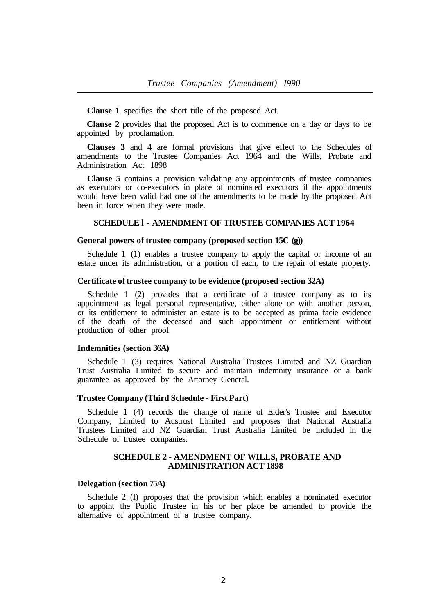**Clause 1** specifies the short title of the proposed Act.

**Clause 2** provides that the proposed Act is to commence on a day or days to be appointed by proclamation.

**Clauses 3** and **4** are formal provisions that give effect to the Schedules of amendments to the Trustee Companies Act 1964 and the Wills, Probate and Administration Act 1898

**Clause 5** contains a provision validating any appointments of trustee companies as executors or co-executors in place of nominated executors if the appointments would have been valid had one of the amendments to be made by the proposed Act been in force when they were made.

## **SCHEDULE l - AMENDMENT OF TRUSTEE COMPANIES ACT 1964**

# **General powers of trustee company (proposed section 15C (g))**

Schedule 1 (1) enables a trustee company to apply the capital or income of an estate under its administration, or a portion of each, to the repair of estate property.

# **Certificate of trustee company to be evidence (proposed section 32A)**

Schedule 1 (2) provides that a certificate of a trustee company as to its appointment as legal personal representative, either alone or with another person, or its entitlement to administer an estate is to be accepted as prima facie evidence of the death of the deceased and such appointment or entitlement without production of other proof.

#### **Indemnities (section 36A)**

Schedule 1 (3) requires National Australia Trustees Limited and NZ Guardian Trust Australia Limited to secure and maintain indemnity insurance or a bank guarantee as approved by the Attorney General.

#### **Trustee Company (Third Schedule - First Part)**

Schedule 1 (4) records the change of name of Elder's Trustee and Executor Company, Limited to Austrust Limited and proposes that National Australia Trustees Limited and NZ Guardian Trust Australia Limited be included in the Schedule of trustee companies.

# **SCHEDULE 2 - AMENDMENT OF WILLS, PROBATE AND ADMINISTRATION ACT 1898**

#### **Delegation (section 75A)**

Schedule 2 (I) proposes that the provision which enables a nominated executor to appoint the Public Trustee in his or her place be amended to provide the alternative of appointment of a trustee company.